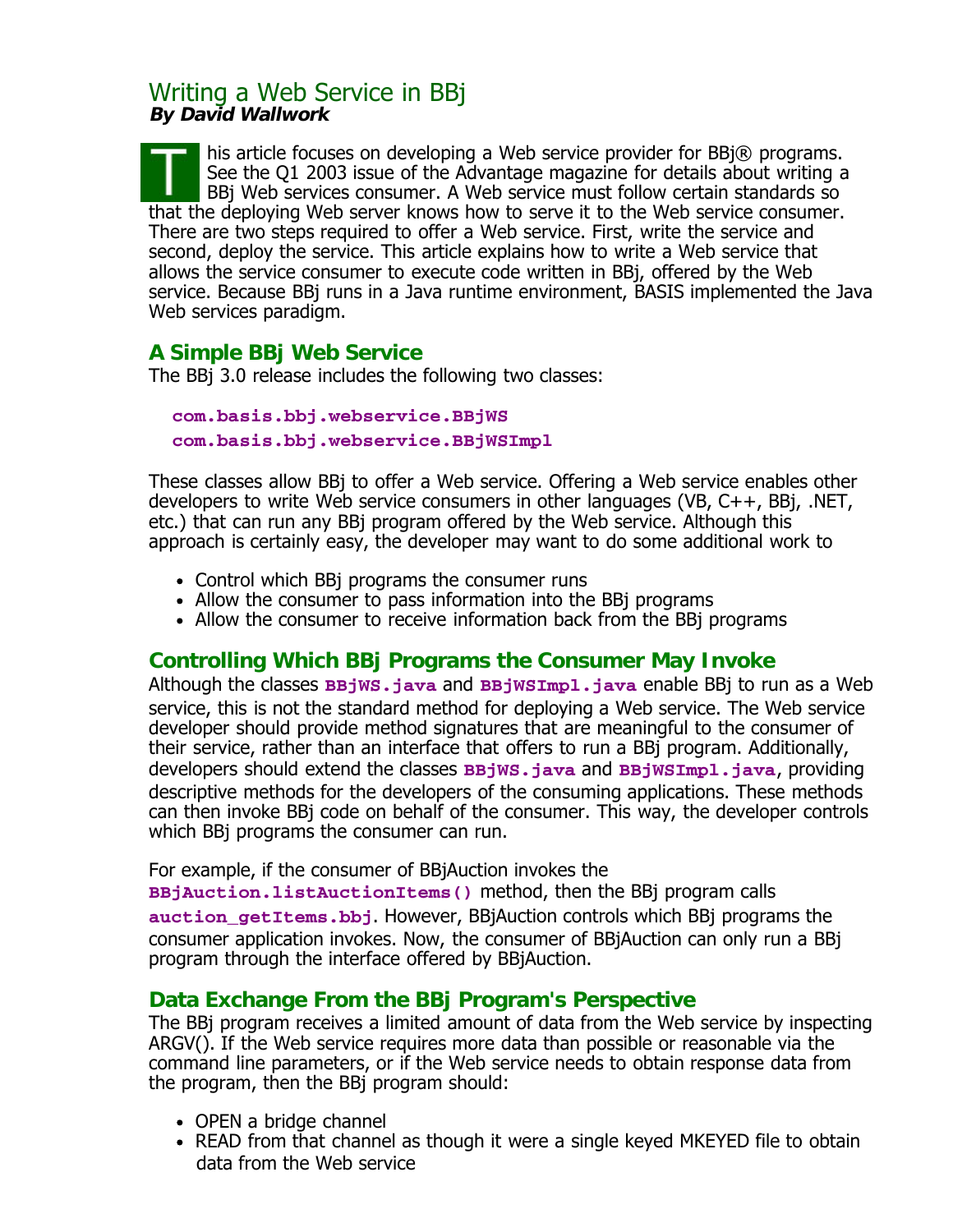# Writing a Web Service in BBj **By David Wallwork**

his article focuses on developing a Web service provider for BBj® programs. See the Q1 2003 issue of the Advantage magazine for details about writing a BBj Web services consumer. A Web service must follow certain standards so that the deploying Web server knows how to serve it to the Web service consumer. There are two steps required to offer a Web service. First, write the service and second, deploy the service. This article explains how to write a Web service that allows the service consumer to execute code written in BBj, offered by the Web service. Because BBj runs in a Java runtime environment, BASIS implemented the Java Web services paradigm.

# **A Simple BBj Web Service**

The BBj 3.0 release includes the following two classes:

 **com.basis.bbj.webservice.BBjWS com.basis.bbj.webservice.BBjWSImpl**

These classes allow BBj to offer a Web service. Offering a Web service enables other developers to write Web service consumers in other languages (VB, C++, BBj, .NET, etc.) that can run any BBj program offered by the Web service. Although this approach is certainly easy, the developer may want to do some additional work to

- Control which BBj programs the consumer runs
- Allow the consumer to pass information into the BBj programs
- Allow the consumer to receive information back from the BB programs

# **Controlling Which BBj Programs the Consumer May Invoke**

Although the classes **BBjWS.java** and **BBjWSImpl.java** enable BBj to run as a Web service, this is not the standard method for deploying a Web service. The Web service developer should provide method signatures that are meaningful to the consumer of their service, rather than an interface that offers to run a BBj program. Additionally, developers should extend the classes **BBjWS.java** and **BBjWSImpl.java**, providing descriptive methods for the developers of the consuming applications. These methods can then invoke BBj code on behalf of the consumer. This way, the developer controls which BBj programs the consumer can run.

For example, if the consumer of BBjAuction invokes the

**BBjAuction.listAuctionItems()** method, then the BBj program calls **auction\_getItems.bbj**. However, BBjAuction controls which BBj programs the consumer application invokes. Now, the consumer of BBjAuction can only run a BBj program through the interface offered by BBjAuction.

# **Data Exchange From the BBj Program's Perspective**

The BBj program receives a limited amount of data from the Web service by inspecting ARGV(). If the Web service requires more data than possible or reasonable via the command line parameters, or if the Web service needs to obtain response data from the program, then the BBj program should:

- OPEN a bridge channel
- READ from that channel as though it were a single keyed MKEYED file to obtain data from the Web service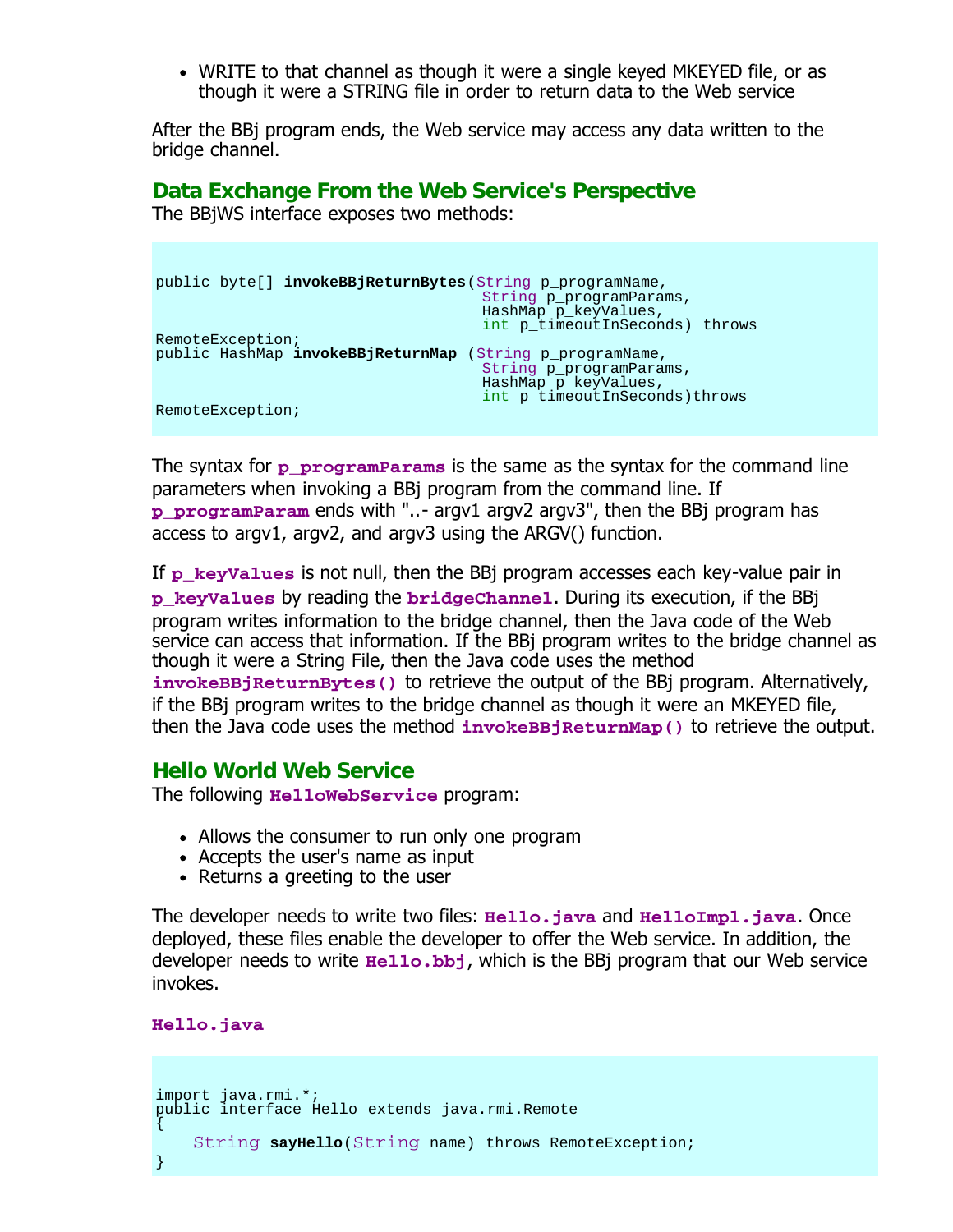WRITE to that channel as though it were a single keyed MKEYED file, or as though it were a STRING file in order to return data to the Web service

After the BBj program ends, the Web service may access any data written to the bridge channel.

### **Data Exchange From the Web Service's Perspective**

The BBjWS interface exposes two methods:

```
public byte[] invokeBBjReturnBytes(String p_programName, 
                                    String p_programParams,
 HashMap p_keyValues, 
                                   int p_timeoutInSeconds) throws 
RemoteException;
public HashMap invokeBBjReturnMap (String p_programName, String p_programParams, 
                                   HashMap p_keyValues,
                                   int p_timeoutInSeconds)throws 
RemoteException;
```
The syntax for **p\_programParams** is the same as the syntax for the command line parameters when invoking a BBj program from the command line. If **p\_programParam** ends with "..- argv1 argv2 argv3", then the BBj program has access to argv1, argv2, and argv3 using the ARGV() function.

If **p** keyValues is not null, then the BBj program accesses each key-value pair in **p\_keyValues** by reading the **bridgeChannel**. During its execution, if the BBj program writes information to the bridge channel, then the Java code of the Web service can access that information. If the BBj program writes to the bridge channel as though it were a String File, then the Java code uses the method **invokeBBjReturnBytes()** to retrieve the output of the BBj program. Alternatively, if the BBj program writes to the bridge channel as though it were an MKEYED file, then the Java code uses the method **invokeBBjReturnMap()** to retrieve the output.

### **Hello World Web Service**

The following **HelloWebService** program:

- Allows the consumer to run only one program
- Accepts the user's name as input
- Returns a greeting to the user

The developer needs to write two files: **Hello.java** and **HelloImpl.java**. Once deployed, these files enable the developer to offer the Web service. In addition, the developer needs to write **Hello.bbj**, which is the BBj program that our Web service invokes.

**Hello.java**

```
\mathbf{r}import java.rmi.*;
public interface Hello extends java.rmi.Remote
\{ String sayHello(String name) throws RemoteException;
}
```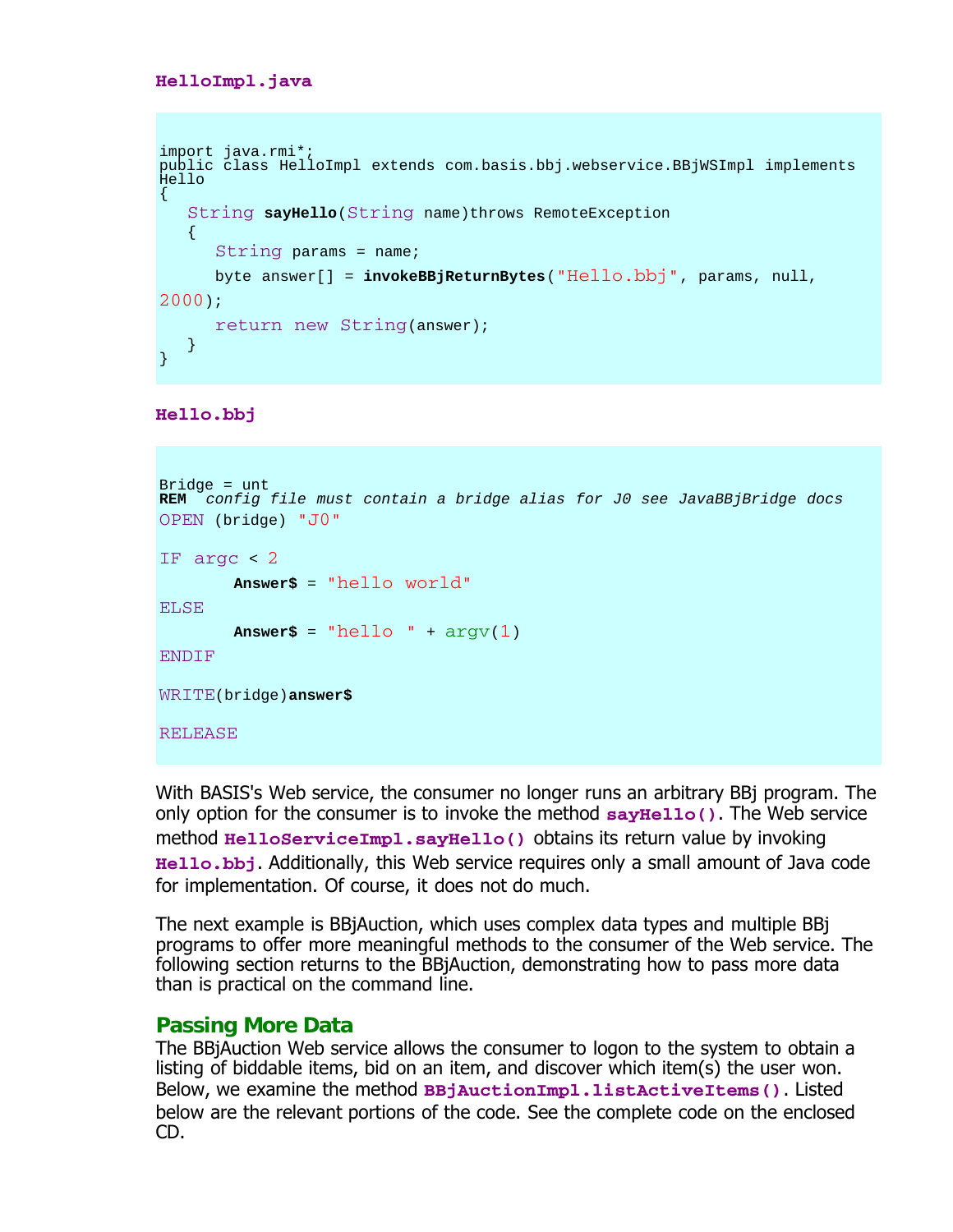```
HelloImpl.java
```

```
l.
import java.rmi*;
public class HelloImpl extends com.basis.bbj.webservice.BBjWSImpl implements 
H = 110\{ String sayHello(String name)throws RemoteException
   \left\{ \right. String params = name;
       byte answer[] = invokeBBjReturnBytes("Hello.bbj", params, null, 
2000);
       return new String(answer);
    }
}
```
**Hello.bbj**

```
Bridge = untREM config file must contain a bridge alias for J0 see JavaBBjBridge docs
OPEN (bridge) "J0"
IF argc < 2 
         Answer$ = "hello world"
ELSE 
        Answer\uparrow = "hello " + \arg(y(1))ENDIF
WRITE(bridge)answer$
RELEASE
```
With BASIS's Web service, the consumer no longer runs an arbitrary BBj program. The only option for the consumer is to invoke the method **sayHello()**. The Web service method **HelloServiceImpl.sayHello()** obtains its return value by invoking **Hello.bbj**. Additionally, this Web service requires only a small amount of Java code for implementation. Of course, it does not do much.

The next example is BBjAuction, which uses complex data types and multiple BBj programs to offer more meaningful methods to the consumer of the Web service. The following section returns to the BBjAuction, demonstrating how to pass more data than is practical on the command line.

### **Passing More Data**

The BBjAuction Web service allows the consumer to logon to the system to obtain a listing of biddable items, bid on an item, and discover which item(s) the user won. Below, we examine the method **BBjAuctionImpl.listActiveItems()**. Listed below are the relevant portions of the code. See the complete code on the enclosed CD.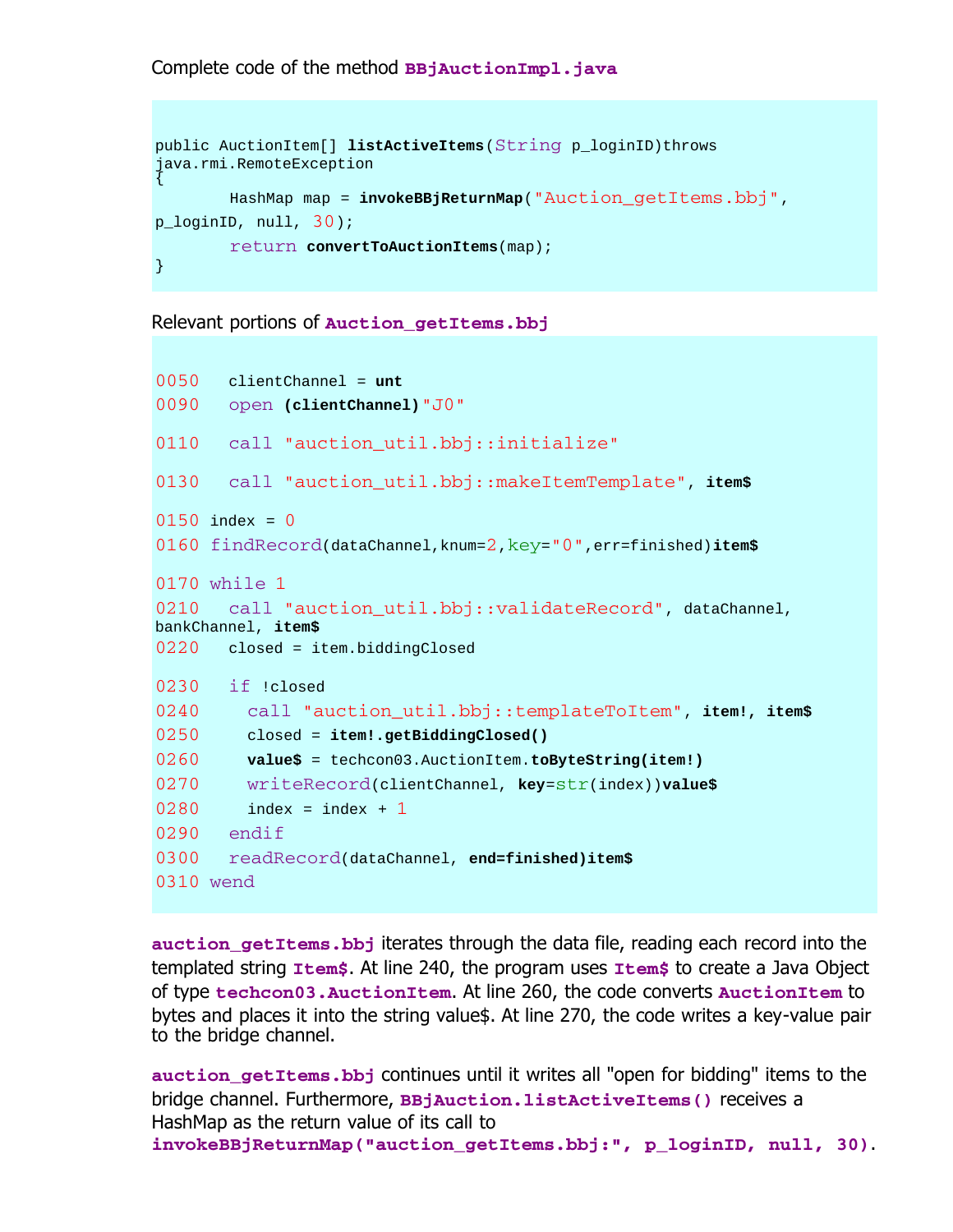Complete code of the method **BBjAuctionImpl.java**

```
public AuctionItem[] listActiveItems (String p_loginID)throws
java.rmi.RemoteException 
\{ HashMap map = invokeBBjReturnMap("Auction_getItems.bbj", 
p_loginID, null, 30);
        return convertToAuctionItems(map); 
}
```
Relevant portions of **Auction\_getItems.bbj**

```
0050 clientChannel = unt
0090 open (clientChannel)"J0"
0110 call "auction_util.bbj::initialize"
0130 call "auction_util.bbj::makeItemTemplate", item$
0150 index = 00160 findRecord(dataChannel,knum=2,key="0",err=finished)item$
0170 while 1
0210 call "auction_util.bbj::validateRecord", dataChannel,
bankChannel, item$
0220 closed = item.biddingClosed
0230 if !closed
0240 call "auction_util.bbj::templateToItem", item!, item$
0250 closed = item!.getBiddingClosed()
0260 value$ = techcon03.AuctionItem.toByteString(item!)
0270 writeRecord(clientChannel, key=str(index))value$ 
0280 index = index + 1
0290 endif
0300 readRecord(dataChannel, end=finished)item$
0310 wend
```
**auction\_getItems.bbj** iterates through the data file, reading each record into the templated string **Item\$**. At line 240, the program uses **Item\$** to create a Java Object of type **techcon03.AuctionItem**. At line 260, the code converts **AuctionItem** to bytes and places it into the string value\$. At line 270, the code writes a key-value pair to the bridge channel.

**auction\_getItems.bbj** continues until it writes all "open for bidding" items to the bridge channel. Furthermore, **BBjAuction.listActiveItems()** receives a HashMap as the return value of its call to **invokeBBjReturnMap("auction\_getItems.bbj:", p\_loginID, null, 30)**.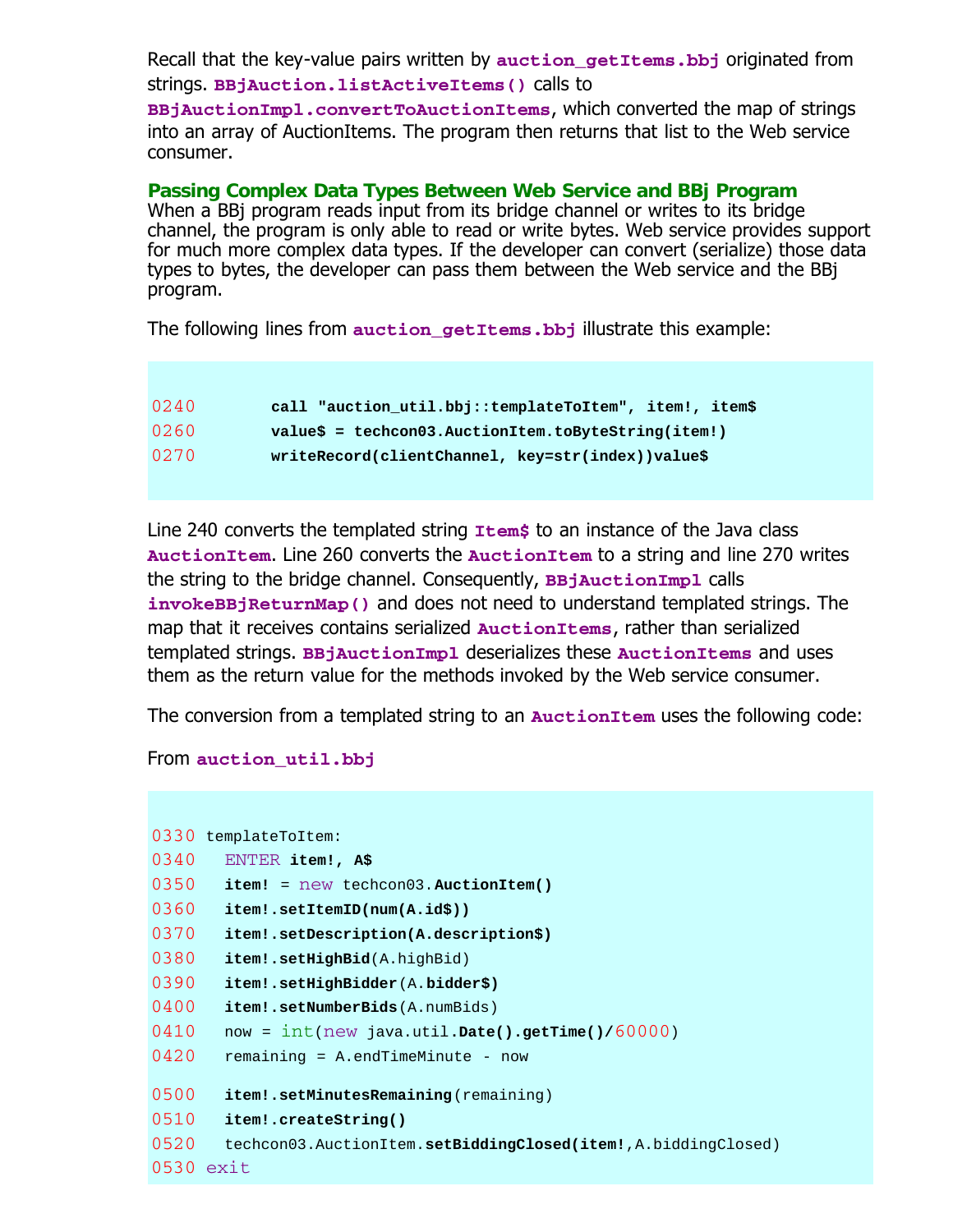Recall that the key-value pairs written by **auction** getItems.bbj originated from strings. **BBjAuction.listActiveItems()** calls to

**BBjAuctionImpl.convertToAuctionItems**, which converted the map of strings into an array of AuctionItems. The program then returns that list to the Web service consumer.

**Passing Complex Data Types Between Web Service and BBj Program** When a BBj program reads input from its bridge channel or writes to its bridge channel, the program is only able to read or write bytes. Web service provides support for much more complex data types. If the developer can convert (serialize) those data types to bytes, the developer can pass them between the Web service and the BBj program.

The following lines from **auction\_getItems.bbj** illustrate this example:

| 0240 | call "auction_util.bbj::templateToItem", item!, item\$ |
|------|--------------------------------------------------------|
| 0260 | $values = technology.$ AuctionItem.toByteString(item!) |
| 0270 | writeRecord(clientChannel, key=str(index))value\$      |

Line 240 converts the templated string **Item\$** to an instance of the Java class **AuctionItem**. Line 260 converts the **AuctionItem** to a string and line 270 writes the string to the bridge channel. Consequently, **BBjAuctionImpl** calls **invokeBBjReturnMap()** and does not need to understand templated strings. The map that it receives contains serialized **AuctionItems**, rather than serialized templated strings. **BBjAuctionImpl** deserializes these **AuctionItems** and uses them as the return value for the methods invoked by the Web service consumer.

The conversion from a templated string to an **AuctionItem** uses the following code:

#### From **auction\_util.bbj**

|           | 0330 templateToItem:                                           |
|-----------|----------------------------------------------------------------|
| 0340      | ENTER item!, A\$                                               |
| 0350      | <b>item!</b> = new techcon03. AuctionItem()                    |
| 0360      | item!.setItemID(num(A.id\$))                                   |
| 0370      | item!.setDescription(A.description\$)                          |
| 0380      | <b>item!.setHighBid</b> (A.highBid)                            |
| 0390      | item!.setHighBidder(A.bidder\$)                                |
| 0400      | <b>item!.setNumberBids</b> (A.numBids)                         |
| 0410      | now = $int(new java.util.DataFrame().getTime() / 60000)$       |
| 0420      | $remaining = A.endTimeMinute - now$                            |
|           |                                                                |
| 0500      | item!.setMinutesRemaining (remaining)                          |
| 0510      | item!.createString()                                           |
| 0520      | techcon03.AuctionItem.setBiddingClosed(item!, A.biddingClosed) |
| 0530 exit |                                                                |